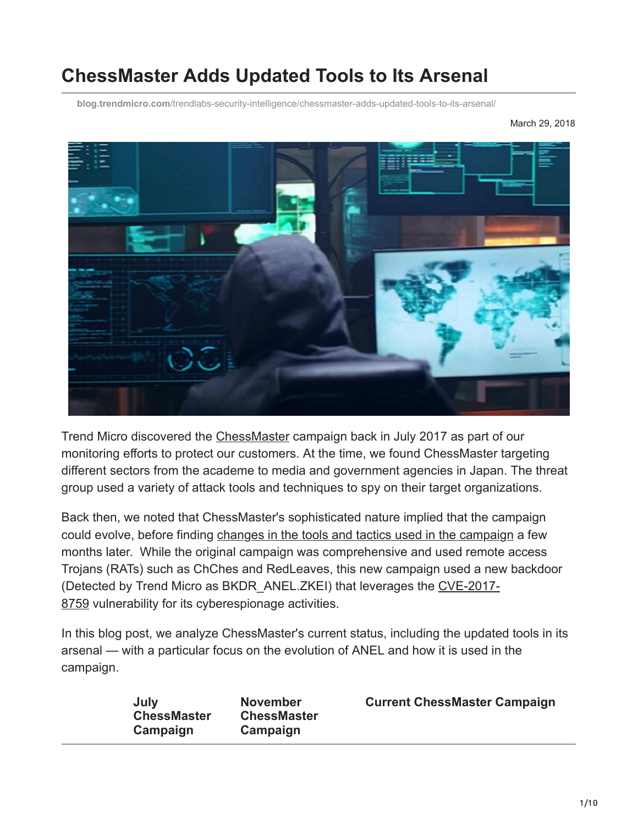# **ChessMaster Adds Updated Tools to Its Arsenal**

**blog.trendmicro.com**[/trendlabs-security-intelligence/chessmaster-adds-updated-tools-to-its-arsenal/](https://blog.trendmicro.com/trendlabs-security-intelligence/chessmaster-adds-updated-tools-to-its-arsenal/)

March 29, 2018



Trend Micro discovered the [ChessMaster](https://blog.trendmicro.com/trendlabs-security-intelligence/chessmaster-cyber-espionage-campaign/) campaign back in July 2017 as part of our monitoring efforts to protect our customers. At the time, we found ChessMaster targeting different sectors from the academe to media and government agencies in Japan. The threat group used a variety of attack tools and techniques to spy on their target organizations.

Back then, we noted that ChessMaster's sophisticated nature implied that the campaign could evolve, before finding [changes in the tools and tactics used in the campaign](https://blog.trendmicro.com/trendlabs-security-intelligence/chessmasters-new-strategy-evolving-tools-tactics/) a few months later. While the original campaign was comprehensive and used remote access Trojans (RATs) such as ChChes and RedLeaves, this new campaign used a new backdoor [\(Detected by Trend Micro as BKDR\\_ANEL.ZKEI\) that leverages the CVE-2017-](https://cve.mitre.org/cgi-bin/cvename.cgi?name=CVE-2017-8759) 8759 vulnerability for its cyberespionage activities.

In this blog post, we analyze ChessMaster's current status, including the updated tools in its arsenal — with a particular focus on the evolution of ANEL and how it is used in the campaign.

| July<br><b>ChessMaster</b><br>Campaign | <b>November</b><br><b>ChessMaster</b><br>Campaign | <b>Current ChessMaster Campaign</b> |
|----------------------------------------|---------------------------------------------------|-------------------------------------|
|----------------------------------------|---------------------------------------------------|-------------------------------------|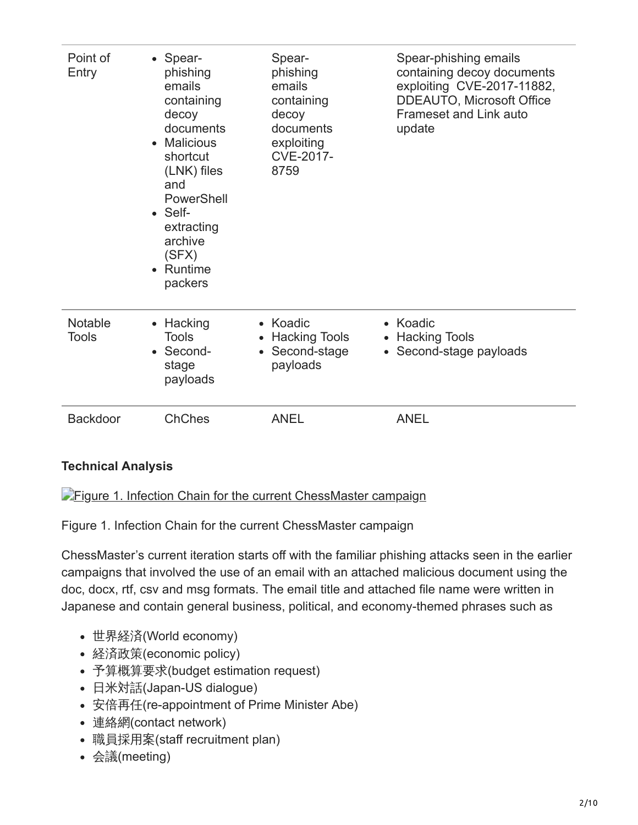| Point of<br>Entry              | • Spear-<br>phishing<br>emails<br>containing<br>decoy<br>documents<br><b>Malicious</b><br>shortcut<br>(LNK) files<br>and<br>PowerShell<br>$\bullet$ Self-<br>extracting<br>archive<br>(SFX)<br>Runtime<br>$\bullet$<br>packers | Spear-<br>phishing<br>emails<br>containing<br>decoy<br>documents<br>exploiting<br>CVE-2017-<br>8759 | Spear-phishing emails<br>containing decoy documents<br>exploiting CVE-2017-11882,<br><b>DDEAUTO, Microsoft Office</b><br><b>Frameset and Link auto</b><br>update |
|--------------------------------|--------------------------------------------------------------------------------------------------------------------------------------------------------------------------------------------------------------------------------|-----------------------------------------------------------------------------------------------------|------------------------------------------------------------------------------------------------------------------------------------------------------------------|
| <b>Notable</b><br><b>Tools</b> | • Hacking<br><b>Tools</b><br>Second-<br>stage<br>payloads                                                                                                                                                                      | • Koadic<br><b>Hacking Tools</b><br>• Second-stage<br>payloads                                      | • Koadic<br>• Hacking Tools<br>• Second-stage payloads                                                                                                           |
| <b>Backdoor</b>                | <b>ChChes</b>                                                                                                                                                                                                                  | <b>ANEL</b>                                                                                         | <b>ANEL</b>                                                                                                                                                      |

## **Technical Analysis**

**[Figure 1. Infection Chain for the current ChessMaster campaign](https://blog.trendmicro.com/content/dam/trendmicro/global/en/migrated/security-intelligence-migration-spreadsheet/trendlabs-security-intelligence/2018/03/ChessMaster0.jpg)** 

Figure 1. Infection Chain for the current ChessMaster campaign

ChessMaster's current iteration starts off with the familiar phishing attacks seen in the earlier campaigns that involved the use of an email with an attached malicious document using the doc, docx, rtf, csv and msg formats. The email title and attached file name were written in Japanese and contain general business, political, and economy-themed phrases such as

- 世界経済(World economy)
- 経済政策(economic policy)
- 予算概算要求(budget estimation request)
- 日米対話(Japan-US dialogue)
- 安倍再任(re-appointment of Prime Minister Abe)
- 連絡網(contact network)
- 職員採用案(staff recruitment plan)
- 会議(meeting)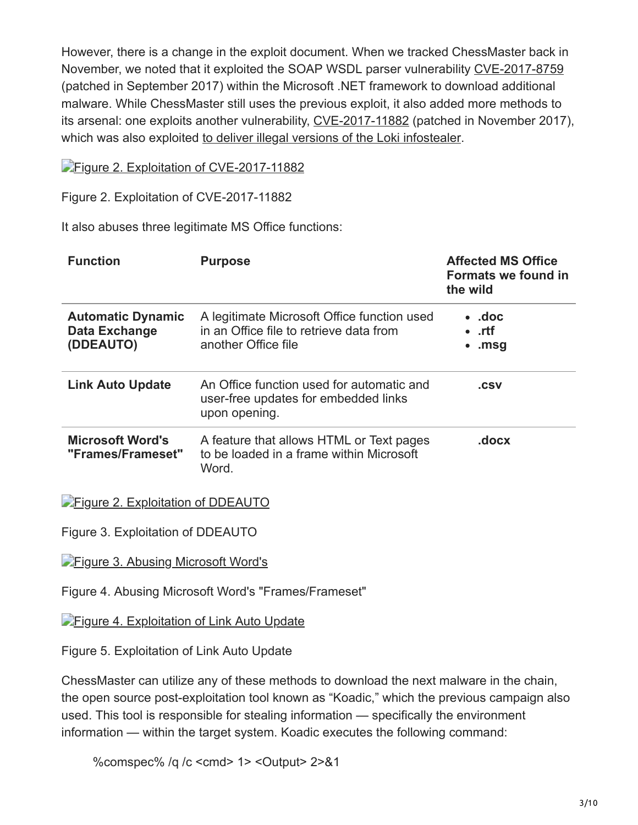However, there is a change in the exploit document. When we tracked ChessMaster back in November, we noted that it exploited the SOAP WSDL parser vulnerability [CVE-2017-8759](https://blog.trendmicro.com/trendlabs-security-intelligence/microsoft-office-zero-day-vulnerability-addressed-september-patch-tuesday/) (patched in September 2017) within the Microsoft .NET framework to download additional malware. While ChessMaster still uses the previous exploit, it also added more methods to its arsenal: one exploits another vulnerability, [CVE-2017-11882](https://www.trendmicro.com/vinfo/us/security/news/vulnerabilities-and-exploits/17-year-old-ms-office-flaw-cve-2017-11882-actively-exploited-in-the-wild) (patched in November 2017), which was also exploited [to deliver illegal versions of the Loki infostealer](https://blog.trendmicro.com/trendlabs-security-intelligence/cve-2017-11882-exploited-deliver-cracked-version-loki-infostealer/).

[Figure 2. Exploitation of CVE-2017-11882](https://blog.trendmicro.com/content/dam/trendmicro/global/en/migrated/security-intelligence-migration-spreadsheet/trendlabs-security-intelligence/2018/03/ChessMaster1.png)

Figure 2. Exploitation of CVE-2017-11882

It also abuses three legitimate MS Office functions:

| <b>Function</b>                                        | <b>Purpose</b>                                                                                                | <b>Affected MS Office</b><br>Formats we found in<br>the wild |
|--------------------------------------------------------|---------------------------------------------------------------------------------------------------------------|--------------------------------------------------------------|
| <b>Automatic Dynamic</b><br>Data Exchange<br>(DDEAUTO) | A legitimate Microsoft Office function used<br>in an Office file to retrieve data from<br>another Office file | $\bullet$ .doc<br>$\cdot$ .rtf<br>$\cdot$ .msg               |
| <b>Link Auto Update</b>                                | An Office function used for automatic and<br>user-free updates for embedded links<br>upon opening.            | .csv                                                         |
| <b>Microsoft Word's</b><br>"Frames/Frameset"           | A feature that allows HTML or Text pages<br>to be loaded in a frame within Microsoft<br>Word.                 | .docx                                                        |

**[Figure 2. Exploitation of DDEAUTO](https://blog.trendmicro.com/content/dam/trendmicro/global/en/migrated/security-intelligence-migration-spreadsheet/trendlabs-security-intelligence/2018/03/ChessMaster2.png)** 

Figure 3. Exploitation of DDEAUTO

**[Figure 3. Abusing Microsoft Word's](https://blog.trendmicro.com/content/dam/trendmicro/global/en/migrated/security-intelligence-migration-spreadsheet/trendlabs-security-intelligence/2018/03/ChessMaster3.png)** 

Figure 4. Abusing Microsoft Word's "Frames/Frameset"

**[Figure 4. Exploitation of Link Auto Update](https://blog.trendmicro.com/content/dam/trendmicro/global/en/migrated/security-intelligence-migration-spreadsheet/trendlabs-security-intelligence/2018/03/ChessMaster4.png)** 

Figure 5. Exploitation of Link Auto Update

ChessMaster can utilize any of these methods to download the next malware in the chain, the open source post-exploitation tool known as "Koadic," which the previous campaign also used. This tool is responsible for stealing information — specifically the environment information — within the target system. Koadic executes the following command:

%comspec% /q /c <cmd> 1> <Output> 2>&1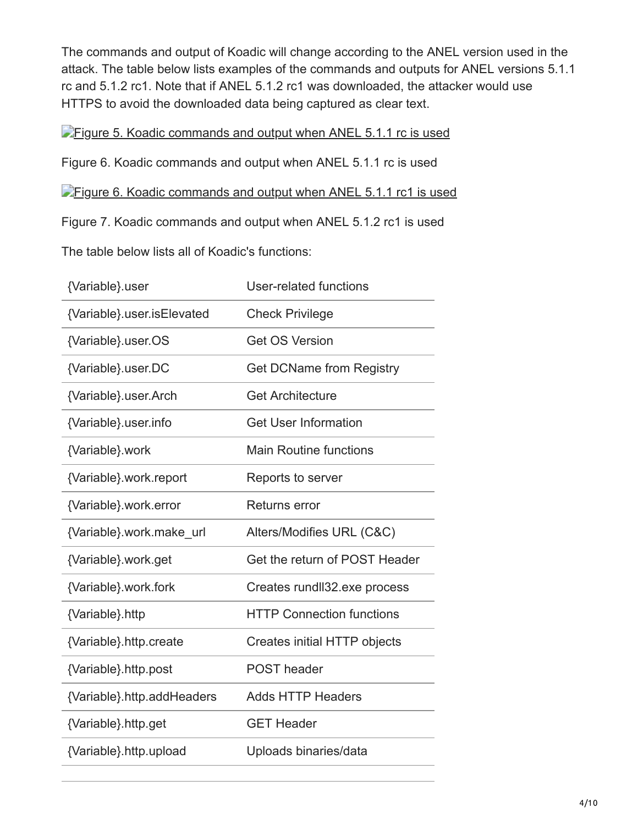The commands and output of Koadic will change according to the ANEL version used in the attack. The table below lists examples of the commands and outputs for ANEL versions 5.1.1 rc and 5.1.2 rc1. Note that if ANEL 5.1.2 rc1 was downloaded, the attacker would use HTTPS to avoid the downloaded data being captured as clear text.

**[Figure 5. Koadic commands and output when ANEL 5.1.1 rc is used](https://blog.trendmicro.com/trendlabs-security-intelligence/files/2018/03/ChessMaster15-1.jpg)** 

Figure 6. Koadic commands and output when ANEL 5.1.1 rc is used

**[Figure 6. Koadic commands and output when ANEL 5.1.1 rc1 is used](https://blog.trendmicro.com/trendlabs-security-intelligence/files/2018/03/ChessMaster16-1.jpg)** 

Figure 7. Koadic commands and output when ANEL 5.1.2 rc1 is used

The table below lists all of Koadic's functions:

| {Variable}.user            | User-related functions              |
|----------------------------|-------------------------------------|
| {Variable}.user.isElevated | <b>Check Privilege</b>              |
| {Variable}.user.OS         | <b>Get OS Version</b>               |
| {Variable}.user.DC         | <b>Get DCName from Registry</b>     |
| {Variable}.user.Arch       | <b>Get Architecture</b>             |
| {Variable}.user.info       | <b>Get User Information</b>         |
| {Variable}.work            | <b>Main Routine functions</b>       |
| {Variable}.work.report     | Reports to server                   |
| {Variable}.work.error      | Returns error                       |
|                            |                                     |
| {Variable}.work.make url   | Alters/Modifies URL (C&C)           |
| {Variable}.work.get        | Get the return of POST Header       |
| {Variable}.work.fork       | Creates rundll32.exe process        |
| {Variable}.http            | <b>HTTP Connection functions</b>    |
| {Variable}.http.create     | <b>Creates initial HTTP objects</b> |
| {Variable}.http.post       | <b>POST</b> header                  |
| {Variable}.http.addHeaders | <b>Adds HTTP Headers</b>            |
| {Variable}.http.get        | <b>GET Header</b>                   |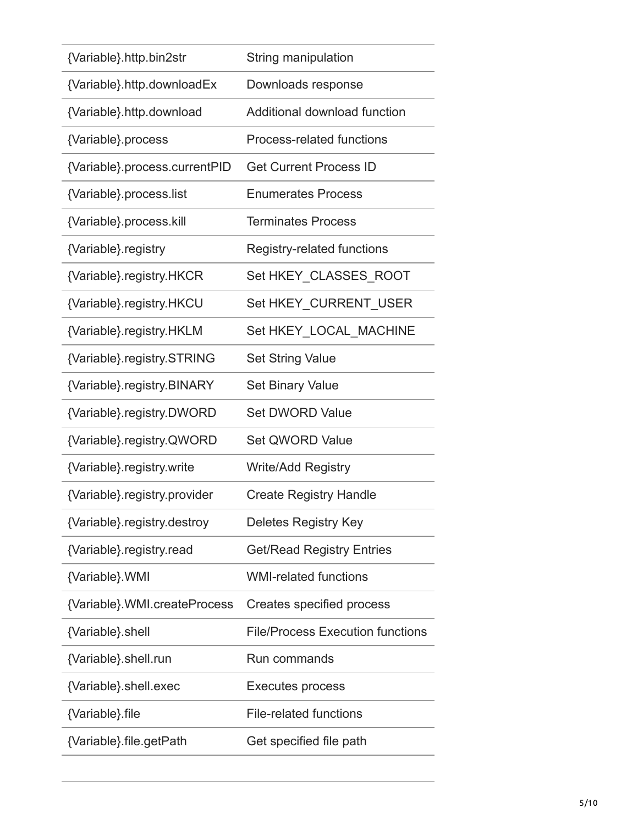| {Variable}.http.bin2str       | String manipulation                     |
|-------------------------------|-----------------------------------------|
| {Variable}.http.downloadEx    | Downloads response                      |
| {Variable}.http.download      | Additional download function            |
| {Variable}.process            | Process-related functions               |
| {Variable}.process.currentPID | <b>Get Current Process ID</b>           |
| {Variable}.process.list       | <b>Enumerates Process</b>               |
| {Variable}.process.kill       | <b>Terminates Process</b>               |
| {Variable}.registry           | Registry-related functions              |
| {Variable}.registry.HKCR      | Set HKEY_CLASSES_ROOT                   |
| {Variable}.registry.HKCU      | Set HKEY CURRENT USER                   |
| {Variable}.registry.HKLM      | Set HKEY LOCAL_MACHINE                  |
| {Variable}.registry.STRING    | <b>Set String Value</b>                 |
| {Variable}.registry.BINARY    | <b>Set Binary Value</b>                 |
| {Variable}.registry.DWORD     | <b>Set DWORD Value</b>                  |
| {Variable}.registry.QWORD     | <b>Set QWORD Value</b>                  |
| {Variable}.registry.write     | <b>Write/Add Registry</b>               |
| {Variable}.registry.provider  | <b>Create Registry Handle</b>           |
| {Variable}.registry.destroy   | Deletes Registry Key                    |
| {Variable}.registry.read      | <b>Get/Read Registry Entries</b>        |
| {Variable}.WMI                | <b>WMI-related functions</b>            |
| {Variable}.WMI.createProcess  | Creates specified process               |
| {Variable}.shell              | <b>File/Process Execution functions</b> |
| {Variable}.shell.run          | Run commands                            |
| {Variable}.shell.exec         | Executes process                        |
| {Variable} file               | <b>File-related functions</b>           |
| {Variable}.file.getPath       | Get specified file path                 |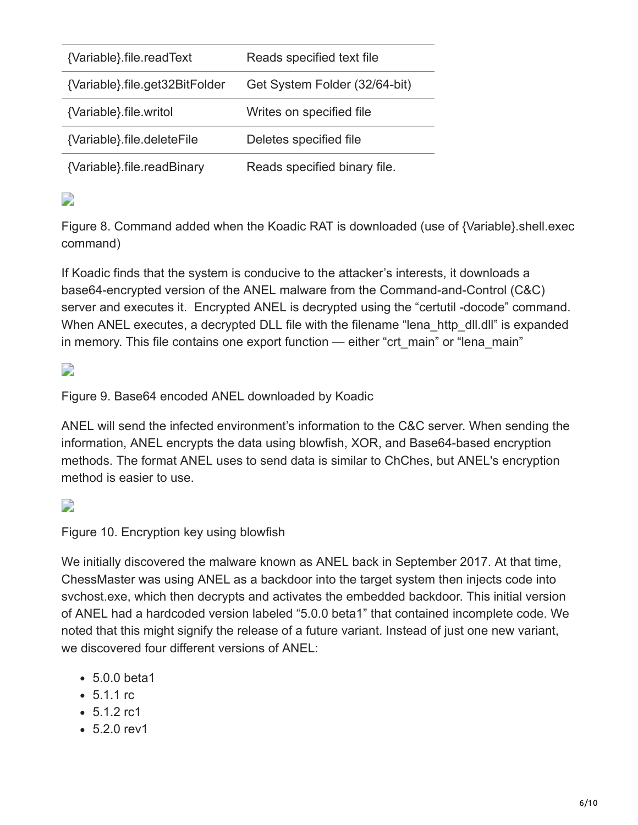| {Variable}.file.readText       | Reads specified text file     |
|--------------------------------|-------------------------------|
| {Variable}.file.get32BitFolder | Get System Folder (32/64-bit) |
| {Variable} file writol         | Writes on specified file      |
| {Variable}.file.deleteFile     | Deletes specified file        |
| {Variable}.file.readBinary     | Reads specified binary file.  |

D

Figure 8. Command added when the Koadic RAT is downloaded (use of {Variable}.shell.exec command)

If Koadic finds that the system is conducive to the attacker's interests, it downloads a base64-encrypted version of the ANEL malware from the Command-and-Control (C&C) server and executes it. Encrypted ANEL is decrypted using the "certutil -docode" command. When ANEL executes, a decrypted DLL file with the filename "lena http dll.dll" is expanded in memory. This file contains one export function — either "crt\_main" or "lena\_main"

D

Figure 9. Base64 encoded ANEL downloaded by Koadic

ANEL will send the infected environment's information to the C&C server. When sending the information, ANEL encrypts the data using blowfish, XOR, and Base64-based encryption methods. The format ANEL uses to send data is similar to ChChes, but ANEL's encryption method is easier to use.

D

Figure 10. Encryption key using blowfish

We initially discovered the malware known as ANEL back in September 2017. At that time, ChessMaster was using ANEL as a backdoor into the target system then injects code into svchost.exe, which then decrypts and activates the embedded backdoor. This initial version of ANEL had a hardcoded version labeled "5.0.0 beta1" that contained incomplete code. We noted that this might signify the release of a future variant. Instead of just one new variant, we discovered four different versions of ANEL:

- 5.0.0 beta1
- $5.1.1$  rc
- 5.1.2 rc1
- $-5.2.0$  rev1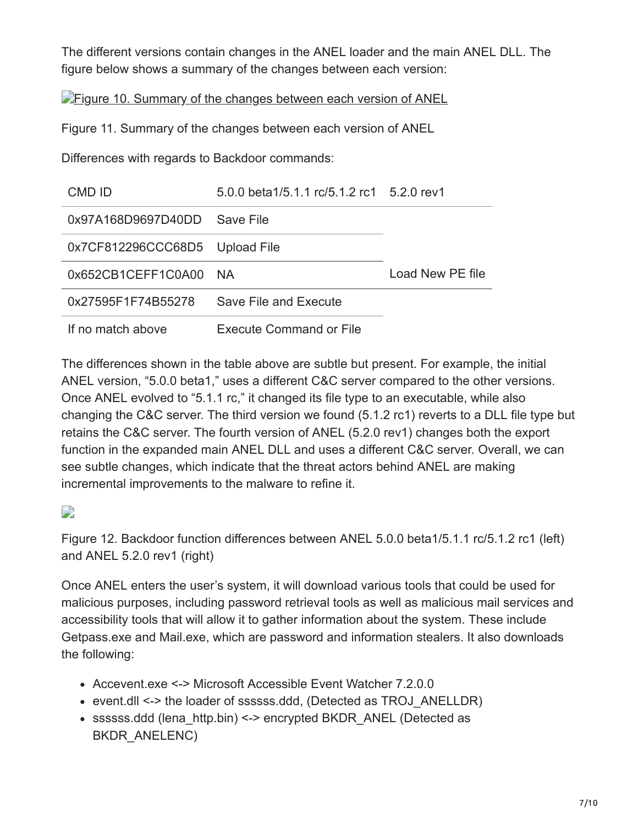The different versions contain changes in the ANEL loader and the main ANEL DLL. The figure below shows a summary of the changes between each version:

**[Figure 10. Summary of the changes between each version of ANEL](https://blog.trendmicro.com/trendlabs-security-intelligence/files/2018/03/ChessMaster17-1.jpg)** 

Figure 11. Summary of the changes between each version of ANEL

Differences with regards to Backdoor commands:

| CMD ID             | 5.0.0 beta1/5.1.1 rc/5.1.2 rc1 5.2.0 rev1 |                  |
|--------------------|-------------------------------------------|------------------|
| 0x97A168D9697D40DD | Save File                                 |                  |
| 0x7CF812296CCC68D5 | Upload File                               |                  |
| 0x652CB1CEFF1C0A00 | NA.                                       | Load New PE file |
| 0x27595F1F74B55278 | Save File and Execute                     |                  |
| If no match above  | <b>Execute Command or File</b>            |                  |

The differences shown in the table above are subtle but present. For example, the initial ANEL version, "5.0.0 beta1," uses a different C&C server compared to the other versions. Once ANEL evolved to "5.1.1 rc," it changed its file type to an executable, while also changing the C&C server. The third version we found (5.1.2 rc1) reverts to a DLL file type but retains the C&C server. The fourth version of ANEL (5.2.0 rev1) changes both the export function in the expanded main ANEL DLL and uses a different C&C server. Overall, we can see subtle changes, which indicate that the threat actors behind ANEL are making incremental improvements to the malware to refine it.

 $\overline{\phantom{a}}$ 

Figure 12. Backdoor function differences between ANEL 5.0.0 beta1/5.1.1 rc/5.1.2 rc1 (left) and ANEL 5.2.0 rev1 (right)

Once ANEL enters the user's system, it will download various tools that could be used for malicious purposes, including password retrieval tools as well as malicious mail services and accessibility tools that will allow it to gather information about the system. These include Getpass.exe and Mail.exe, which are password and information stealers. It also downloads the following:

- Accevent.exe <-> Microsoft Accessible Event Watcher 7.2.0.0
- event.dll <-> the loader of ssssss.ddd, (Detected as TROJ\_ANELLDR)
- ssssss.ddd (lena\_http.bin) <-> encrypted BKDR\_ANEL (Detected as BKDR\_ANELENC)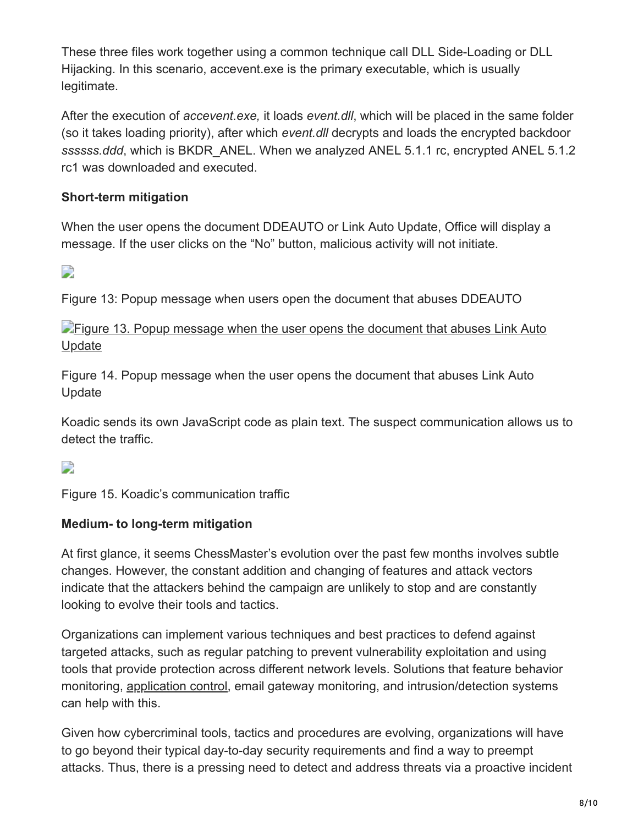These three files work together using a common technique call DLL Side-Loading or DLL Hijacking. In this scenario, accevent.exe is the primary executable, which is usually legitimate.

After the execution of *accevent.exe,* it loads *event.dll*, which will be placed in the same folder (so it takes loading priority), after which *event.dll* decrypts and loads the encrypted backdoor *ssssss.ddd*, which is BKDR\_ANEL. When we analyzed ANEL 5.1.1 rc, encrypted ANEL 5.1.2 rc1 was downloaded and executed.

### **Short-term mitigation**

When the user opens the document DDEAUTO or Link Auto Update, Office will display a message. If the user clicks on the "No" button, malicious activity will not initiate.

 $\overline{\phantom{a}}$ 

Figure 13: Popup message when users open the document that abuses DDEAUTO

**[Figure 13. Popup message when the user opens the document that abuses Link Auto](https://blog.trendmicro.com/content/dam/trendmicro/global/en/migrated/security-intelligence-migration-spreadsheet/trendlabs-security-intelligence/2018/03/ChessMaster13-1.jpg)** Update

Figure 14. Popup message when the user opens the document that abuses Link Auto Update

Koadic sends its own JavaScript code as plain text. The suspect communication allows us to detect the traffic.

D

Figure 15. Koadic's communication traffic

#### **Medium- to long-term mitigation**

At first glance, it seems ChessMaster's evolution over the past few months involves subtle changes. However, the constant addition and changing of features and attack vectors indicate that the attackers behind the campaign are unlikely to stop and are constantly looking to evolve their tools and tactics.

Organizations can implement various techniques and best practices to defend against targeted attacks, such as regular patching to prevent vulnerability exploitation and using tools that provide protection across different network levels. Solutions that feature behavior monitoring, [application control](https://blog.trendmicro.com/en_us/business/products/user-protection/sps/endpoint.html), email gateway monitoring, and intrusion/detection systems can help with this.

Given how cybercriminal tools, tactics and procedures are evolving, organizations will have to go beyond their typical day-to-day security requirements and find a way to preempt attacks. Thus, there is a pressing need to detect and address threats via a proactive incident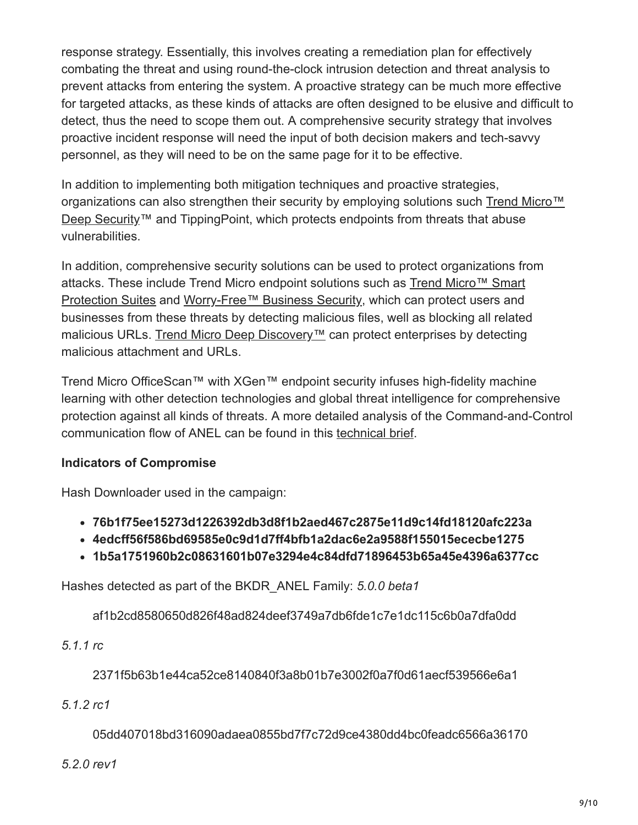response strategy. Essentially, this involves creating a remediation plan for effectively combating the threat and using round-the-clock intrusion detection and threat analysis to prevent attacks from entering the system. A proactive strategy can be much more effective for targeted attacks, as these kinds of attacks are often designed to be elusive and difficult to detect, thus the need to scope them out. A comprehensive security strategy that involves proactive incident response will need the input of both decision makers and tech-savvy personnel, as they will need to be on the same page for it to be effective.

In addition to implementing both mitigation techniques and proactive strategies, [organizations can also strengthen their security by employing solutions such Trend Micro™](https://blog.trendmicro.com/en_us/business/products/hybrid-cloud/deep-security.html) Deep Security™ and TippingPoint, which protects endpoints from threats that abuse vulnerabilities.

In addition, comprehensive security solutions can be used to protect organizations from [attacks. These include Trend Micro endpoint solutions such as Trend Micro™ Smart](https://blog.trendmicro.com/en_us/business/products/user-protection/sps.html) Protection Suites and [Worry-Free™ Business Security](https://blog.trendmicro.com/en_us/small-business/worry-free.html), which can protect users and businesses from these threats by detecting malicious files, well as blocking all related malicious URLs. [Trend Micro Deep Discovery™](https://blog.trendmicro.com/en_us/business/products/network/advanced-threat-protection/deep-discovery-threat-intelligence-network-analytics.html) can protect enterprises by detecting malicious attachment and URLs.

Trend Micro OfficeScan™ with XGen™ endpoint security infuses high-fidelity machine learning with other detection technologies and global threat intelligence for comprehensive protection against all kinds of threats. A more detailed analysis of the Command-and-Control communication flow of ANEL can be found in this [technical brief.](https://documents.trendmicro.com/assets/technical-brief-chessmaster-adds-updated-tools-to-its-arsenal.pdf)

## **Indicators of Compromise**

Hash Downloader used in the campaign:

- **76b1f75ee15273d1226392db3d8f1b2aed467c2875e11d9c14fd18120afc223a**
- **4edcff56f586bd69585e0c9d1d7ff4bfb1a2dac6e2a9588f155015ececbe1275**
- **1b5a1751960b2c08631601b07e3294e4c84dfd71896453b65a45e4396a6377cc**

Hashes detected as part of the BKDR\_ANEL Family: *5.0.0 beta1*

af1b2cd8580650d826f48ad824deef3749a7db6fde1c7e1dc115c6b0a7dfa0dd

*5.1.1 rc*

2371f5b63b1e44ca52ce8140840f3a8b01b7e3002f0a7f0d61aecf539566e6a1

*5.1.2 rc1*

05dd407018bd316090adaea0855bd7f7c72d9ce4380dd4bc0feadc6566a36170

#### *5.2.0 rev1*